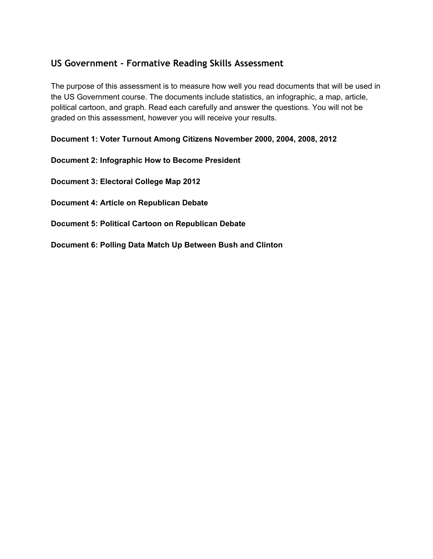### **US Government - Formative Reading Skills Assessment**

The purpose of this assessment is to measure how well you read documents that will be used in the US Government course. The documents include statistics, an infographic, a map, article, political cartoon, and graph. Read each carefully and answer the questions. You will not be graded on this assessment, however you will receive your results.

**Document 1: Voter Turnout Among Citizens November 2000, 2004, 2008, 2012**

**Document 2: Infographic How to Become President**

**Document 3: Electoral College Map 2012**

**Document 4: Article on Republican Debate**

**Document 5: Political Cartoon on Republican Debate**

**Document 6: Polling Data Match Up Between Bush and Clinton**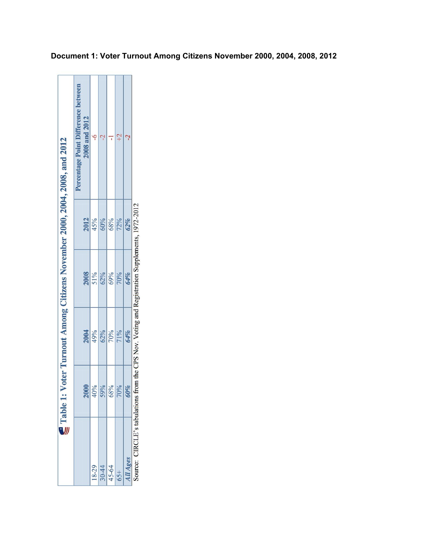| Voter Turnout Among Citizens November 2000, 2004, 2008, and 2012 | Percentage Point Difference between<br>2008 and 2012 | ç          |                       |     |     |                 |                                                                                               |
|------------------------------------------------------------------|------------------------------------------------------|------------|-----------------------|-----|-----|-----------------|-----------------------------------------------------------------------------------------------|
|                                                                  | 2012                                                 | 45%        | 60%                   | 68% | 72% | 62%             |                                                                                               |
|                                                                  | 2008                                                 | 51%<br>62% |                       | 69% | 70% | 64%             |                                                                                               |
|                                                                  | 2004                                                 | 49%<br>62% |                       | 70% | 71% | 64%             |                                                                                               |
|                                                                  | 2000                                                 | 40%        | 59%                   | 68% | 70% | 60%             |                                                                                               |
| $\subseteq$ Table 1:                                             |                                                      |            | $\frac{18-29}{30-44}$ |     | 65+ | <b>III Ages</b> | Source: CIRCLE's tabulations from the CPS Nov. Voting and Registration Supplements, 1972-2012 |

**Document 1: Voter Turnout Among Citizens November 2000, 2004, 2008, 2012**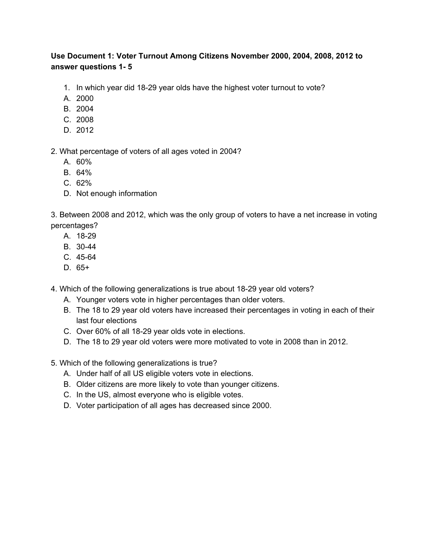### **Use Document 1: Voter Turnout Among Citizens November 2000, 2004, 2008, 2012 to answer questions 1 5**

- 1. In which year did 1829 year olds have the highest voter turnout to vote?
- A. 2000
- B. 2004
- C. 2008
- D. 2012

2. What percentage of voters of all ages voted in 2004?

- A. 60%
- B. 64%
- C. 62%
- D. Not enough information

3. Between 2008 and 2012, which was the only group of voters to have a net increase in voting percentages?

- A. 18-29
- B. 30-44
- $C. 45-64$
- D. 65+

4. Which of the following generalizations is true about 18-29 year old voters?

- A. Younger voters vote in higher percentages than older voters.
- B. The 18 to 29 year old voters have increased their percentages in voting in each of their last four elections
- C. Over 60% of all 1829 year olds vote in elections.
- D. The 18 to 29 year old voters were more motivated to vote in 2008 than in 2012.
- 5. Which of the following generalizations is true?
	- A. Under half of all US eligible voters vote in elections.
	- B. Older citizens are more likely to vote than younger citizens.
	- C. In the US, almost everyone who is eligible votes.
	- D. Voter participation of all ages has decreased since 2000.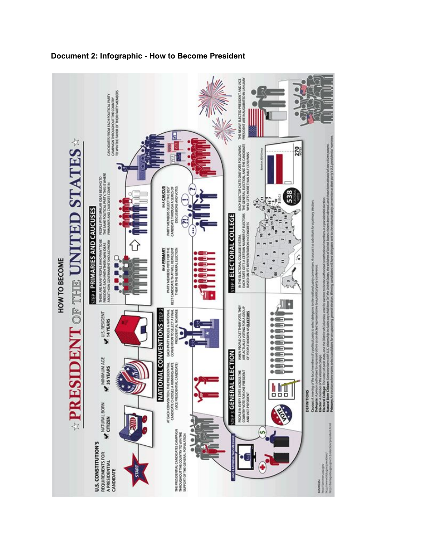

### **Document 2: Infographic How to Become President**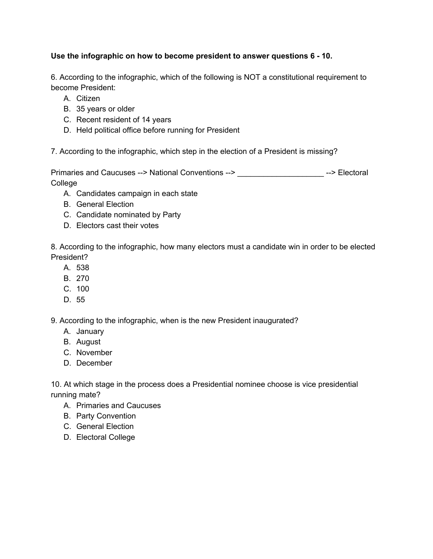### **Use the infographic on how to become president to answer questions 6 10.**

6. According to the infographic, which of the following is NOT a constitutional requirement to become President:

- A. Citizen
- B. 35 years or older
- C. Recent resident of 14 years
- D. Held political office before running for President

7. According to the infographic, which step in the election of a President is missing?

Primaries and Caucuses --> National Conventions --> \_\_\_\_\_\_\_\_\_\_\_\_\_\_\_\_\_\_\_\_\_\_\_\_\_\_--> Electoral College

- A. Candidates campaign in each state
- B. General Election
- C. Candidate nominated by Party
- D. Electors cast their votes

8. According to the infographic, how many electors must a candidate win in order to be elected President?

- A. 538
- B. 270
- C. 100
- D. 55

9. According to the infographic, when is the new President inaugurated?

- A. January
- B. August
- C. November
- D. December

10. At which stage in the process does a Presidential nominee choose is vice presidential running mate?

- A. Primaries and Caucuses
- B. Party Convention
- C. General Election
- D. Electoral College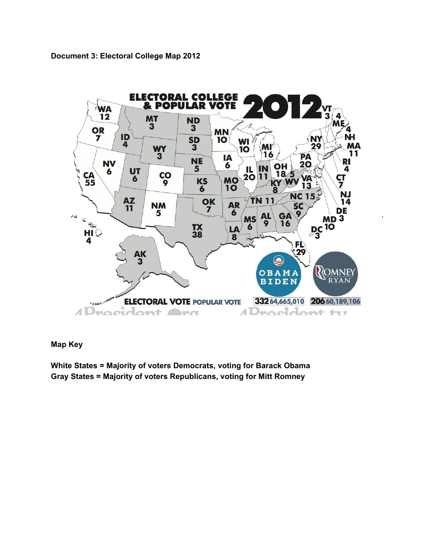**Document 3: Electoral College Map 2012**



#### **Map Key**

**White States = Majority of voters Democrats, voting for Barack Obama Gray States = Majority of voters Republicans, voting for Mitt Romney**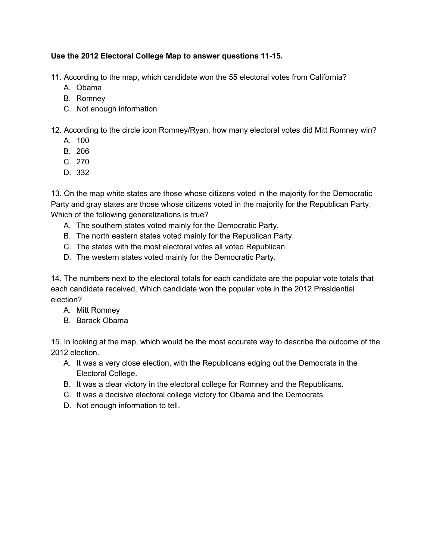### **Use the 2012 Electoral College Map to answer questions 1115.**

11. According to the map, which candidate won the 55 electoral votes from California?

- A. Obama
- B. Romney
- C. Not enough information
- 12. According to the circle icon Romney/Ryan, how many electoral votes did Mitt Romney win?
	- A. 100
	- B. 206
	- C. 270
	- D. 332

13. On the map white states are those whose citizens voted in the majority for the Democratic Party and gray states are those whose citizens voted in the majority for the Republican Party. Which of the following generalizations is true?

- A. The southern states voted mainly for the Democratic Party.
- B. The north eastern states voted mainly for the Republican Party.
- C. The states with the most electoral votes all voted Republican.
- D. The western states voted mainly for the Democratic Party.

14. The numbers next to the electoral totals for each candidate are the popular vote totals that each candidate received. Which candidate won the popular vote in the 2012 Presidential election?

- A. Mitt Romney
- B. Barack Obama

15. In looking at the map, which would be the most accurate way to describe the outcome of the 2012 election.

- A. It was a very close election, with the Republicans edging out the Democrats in the Electoral College.
- B. It was a clear victory in the electoral college for Romney and the Republicans.
- C. It was a decisive electoral college victory for Obama and the Democrats.
- D. Not enough information to tell.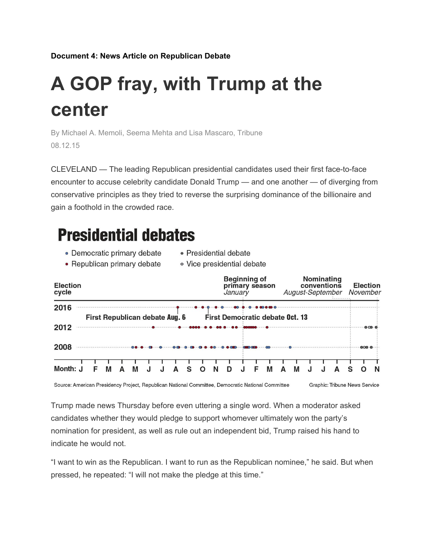**Document 4: News Article on Republican Debate**

# **A GOP fray, with Trump at the center**

By Michael A. Memoli, Seema Mehta and Lisa Mascaro, Tribune 08.12.15

CLEVELAND — The leading Republican presidential candidates used their first face-to-face encounter to accuse celebrity candidate Donald Trump — and one another — of diverging from conservative principles as they tried to reverse the surprising dominance of the billionaire and gain a foothold in the crowded race.

# **Presidential debates**

- Democratic primary debate • Presidential debate
- Republican primary debate · Vice presidential debate

| <b>Election</b><br>cycle                               | <b>Beginning of</b><br>primary season<br>January | Nominating<br>conventions<br>August-September | <b>Election</b><br>November |
|--------------------------------------------------------|--------------------------------------------------|-----------------------------------------------|-----------------------------|
| 2016<br>First Republican debate Aug. 6                 | First Democratic debate Oct. 13                  |                                               |                             |
| 2012                                                   |                                                  |                                               | $-000 - 0$                  |
| 2008                                                   |                                                  |                                               | 0000                        |
| Month: J<br>M<br>Δ<br>М<br>S<br>Δ<br>$\cdot$<br>F<br>J | N<br>М<br>F<br>O<br>D                            | M<br>Δ<br>A<br>S                              | N<br>Ω                      |

Source: American Presidency Project, Republican National Committee, Democratic National Committee

Graphic: Tribune News Service

Trump made news Thursday before even uttering a single word. When a moderator asked candidates whether they would pledge to support whomever ultimately won the party's nomination for president, as well as rule out an independent bid, Trump raised his hand to indicate he would not.

"I want to win as the Republican. I want to run as the Republican nominee," he said. But when pressed, he repeated: "I will not make the pledge at this time."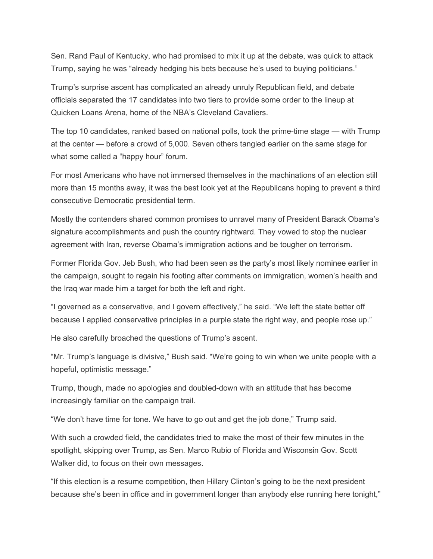Sen. Rand Paul of Kentucky, who had promised to mix it up at the debate, was quick to attack Trump, saying he was "already hedging his bets because he's used to buying politicians."

Trump's surprise ascent has complicated an already unruly Republican field, and debate officials separated the 17 candidates into two tiers to provide some order to the lineup at Quicken Loans Arena, home of the NBA's Cleveland Cavaliers.

The top 10 candidates, ranked based on national polls, took the prime-time stage — with Trump at the center — before a crowd of 5,000. Seven others tangled earlier on the same stage for what some called a "happy hour" forum.

For most Americans who have not immersed themselves in the machinations of an election still more than 15 months away, it was the best look yet at the Republicans hoping to prevent a third consecutive Democratic presidential term.

Mostly the contenders shared common promises to unravel many of President Barack Obama's signature accomplishments and push the country rightward. They vowed to stop the nuclear agreement with Iran, reverse Obama's immigration actions and be tougher on terrorism.

Former Florida Gov. Jeb Bush, who had been seen as the party's most likely nominee earlier in the campaign, sought to regain his footing after comments on immigration, women's health and the Iraq war made him a target for both the left and right.

"I governed as a conservative, and I govern effectively," he said. "We left the state better off because I applied conservative principles in a purple state the right way, and people rose up."

He also carefully broached the questions of Trump's ascent.

"Mr. Trump's language is divisive," Bush said. "We're going to win when we unite people with a hopeful, optimistic message."

Trump, though, made no apologies and doubled-down with an attitude that has become increasingly familiar on the campaign trail.

"We don't have time for tone. We have to go out and get the job done," Trump said.

With such a crowded field, the candidates tried to make the most of their few minutes in the spotlight, skipping over Trump, as Sen. Marco Rubio of Florida and Wisconsin Gov. Scott Walker did, to focus on their own messages.

"If this election is a resume competition, then Hillary Clinton's going to be the next president because she's been in office and in government longer than anybody else running here tonight,"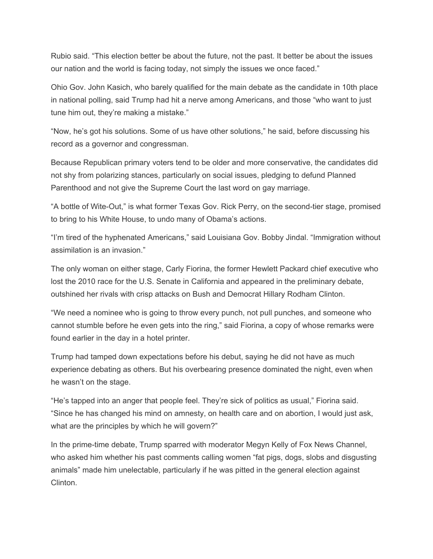Rubio said. "This election better be about the future, not the past. It better be about the issues our nation and the world is facing today, not simply the issues we once faced."

Ohio Gov. John Kasich, who barely qualified for the main debate as the candidate in 10th place in national polling, said Trump had hit a nerve among Americans, and those "who want to just tune him out, they're making a mistake."

"Now, he's got his solutions. Some of us have other solutions," he said, before discussing his record as a governor and congressman.

Because Republican primary voters tend to be older and more conservative, the candidates did not shy from polarizing stances, particularly on social issues, pledging to defund Planned Parenthood and not give the Supreme Court the last word on gay marriage.

"A bottle of Wite-Out," is what former Texas Gov. Rick Perry, on the second-tier stage, promised to bring to his White House, to undo many of Obama's actions.

"I'm tired of the hyphenated Americans," said Louisiana Gov. Bobby Jindal. "Immigration without assimilation is an invasion."

The only woman on either stage, Carly Fiorina, the former Hewlett Packard chief executive who lost the 2010 race for the U.S. Senate in California and appeared in the preliminary debate, outshined her rivals with crisp attacks on Bush and Democrat Hillary Rodham Clinton.

"We need a nominee who is going to throw every punch, not pull punches, and someone who cannot stumble before he even gets into the ring," said Fiorina, a copy of whose remarks were found earlier in the day in a hotel printer.

Trump had tamped down expectations before his debut, saying he did not have as much experience debating as others. But his overbearing presence dominated the night, even when he wasn't on the stage.

"He's tapped into an anger that people feel. They're sick of politics as usual," Fiorina said. "Since he has changed his mind on amnesty, on health care and on abortion, I would just ask, what are the principles by which he will govern?"

In the prime-time debate, Trump sparred with moderator Megyn Kelly of Fox News Channel, who asked him whether his past comments calling women "fat pigs, dogs, slobs and disgusting animals" made him unelectable, particularly if he was pitted in the general election against Clinton.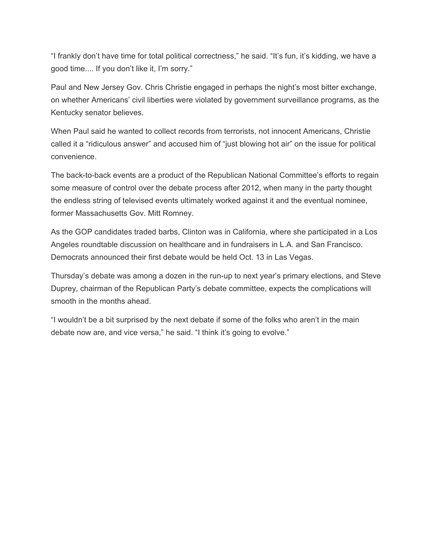"I frankly don't have time for total political correctness," he said. "It's fun, it's kidding, we have a good time.... If you don't like it, I'm sorry."

Paul and New Jersey Gov. Chris Christie engaged in perhaps the night's most bitter exchange, on whether Americans' civil liberties were violated by government surveillance programs, as the Kentucky senator believes.

When Paul said he wanted to collect records from terrorists, not innocent Americans, Christie called it a "ridiculous answer" and accused him of "just blowing hot air" on the issue for political convenience.

The back-to-back events are a product of the Republican National Committee's efforts to regain some measure of control over the debate process after 2012, when many in the party thought the endless string of televised events ultimately worked against it and the eventual nominee, former Massachusetts Gov. Mitt Romney.

As the GOP candidates traded barbs, Clinton was in California, where she participated in a Los Angeles roundtable discussion on healthcare and in fundraisers in L.A. and San Francisco. Democrats announced their first debate would be held Oct. 13 in Las Vegas.

Thursday's debate was among a dozen in the run-up to next year's primary elections, and Steve Duprey, chairman of the Republican Party's debate committee, expects the complications will smooth in the months ahead.

"I wouldn't be a bit surprised by the next debate if some of the folks who aren't in the main debate now are, and vice versa," he said. "I think it's going to evolve."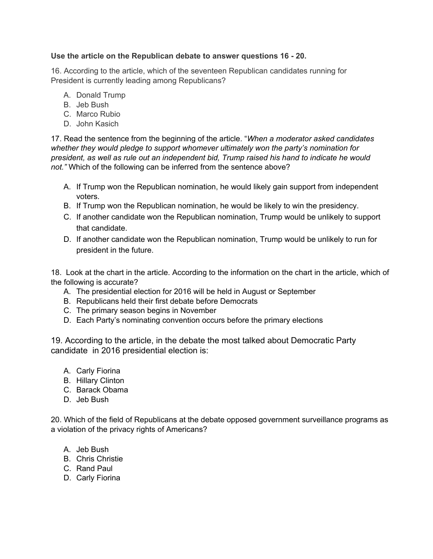### **Use the article on the Republican debate to answer questions 16 20.**

16. According to the article, which of the seventeen Republican candidates running for President is currently leading among Republicans?

- A. Donald Trump
- B. Jeb Bush
- C. Marco Rubio
- D. John Kasich

17. Read the sentence from the beginning of the article. "*When a moderator asked candidates whether they would pledge to support whomever ultimately won the party's nomination for president, as well as rule out an independent bid, Trump raised his hand to indicate he would not."* Which of the following can be inferred from the sentence above?

- A. If Trump won the Republican nomination, he would likely gain support from independent voters.
- B. If Trump won the Republican nomination, he would be likely to win the presidency.
- C. If another candidate won the Republican nomination, Trump would be unlikely to support that candidate.
- D. If another candidate won the Republican nomination, Trump would be unlikely to run for president in the future.

18. Look at the chart in the article. According to the information on the chart in the article, which of the following is accurate?

- A. The presidential election for 2016 will be held in August or September
- B. Republicans held their first debate before Democrats
- C. The primary season begins in November
- D. Each Party's nominating convention occurs before the primary elections

19. According to the article, in the debate the most talked about Democratic Party candidate in 2016 presidential election is:

- A. Carly Fiorina
- B. Hillary Clinton
- C. Barack Obama
- D. Jeb Bush

20. Which of the field of Republicans at the debate opposed government surveillance programs as a violation of the privacy rights of Americans?

- A. Jeb Bush
- B. Chris Christie
- C. Rand Paul
- D. Carly Fiorina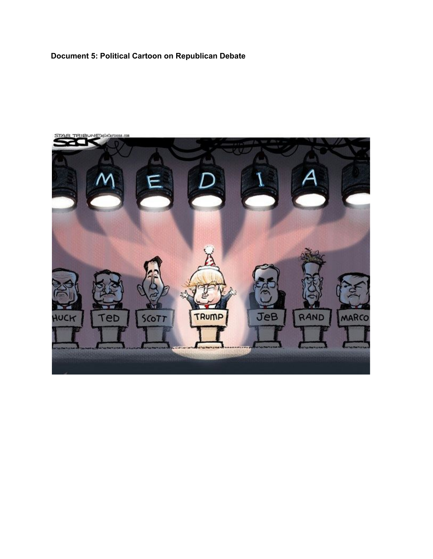## **Document 5: Political Cartoon on Republican Debate**

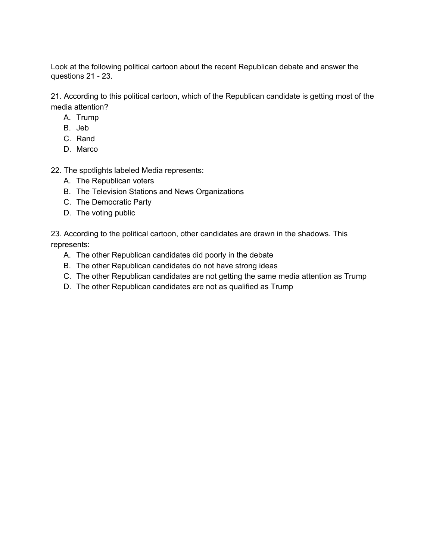Look at the following political cartoon about the recent Republican debate and answer the questions  $21 - 23$ .

21. According to this political cartoon, which of the Republican candidate is getting most of the media attention?

- A. Trump
- B. Jeb
- C. Rand
- D. Marco

22. The spotlights labeled Media represents:

- A. The Republican voters
- B. The Television Stations and News Organizations
- C. The Democratic Party
- D. The voting public

23. According to the political cartoon, other candidates are drawn in the shadows. This represents:

- A. The other Republican candidates did poorly in the debate
- B. The other Republican candidates do not have strong ideas
- C. The other Republican candidates are not getting the same media attention as Trump
- D. The other Republican candidates are not as qualified as Trump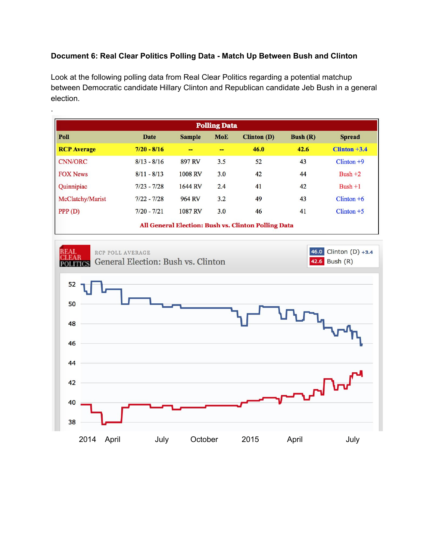### **Document 6: Real Clear Politics Polling Data Match Up Between Bush and Clinton**

.

Look at the following polling data from Real Clear Politics regarding a potential matchup between Democratic candidate Hillary Clinton and Republican candidate Jeb Bush in a general election.

| <b>Polling Data</b>                                 |               |                |            |                    |                   |                |  |  |  |  |
|-----------------------------------------------------|---------------|----------------|------------|--------------------|-------------------|----------------|--|--|--|--|
| Poll                                                | Date          | <b>Sample</b>  | <b>MoE</b> | <b>Clinton (D)</b> | <b>Bush</b> $(R)$ | <b>Spread</b>  |  |  |  |  |
| <b>RCP</b> Average                                  | $7/20 - 8/16$ | --             | --         | 46.0               | 42.6              | $Clinton +3.4$ |  |  |  |  |
| <b>CNN/ORC</b>                                      | $8/13 - 8/16$ | 897 RV         | 3.5        | 52                 | 43                | $Clinton +9$   |  |  |  |  |
| <b>FOX News</b>                                     | $8/11 - 8/13$ | <b>1008 RV</b> | 3.0        | 42                 | 44                | Bush $+2$      |  |  |  |  |
| Quinnipiac                                          | $7/23 - 7/28$ | 1644 RV        | 2.4        | 41                 | 42                | $Bush + 1$     |  |  |  |  |
| McClatchy/Marist                                    | $7/22 - 7/28$ | 964 RV         | 3.2        | 49                 | 43                | $Clinton +6$   |  |  |  |  |
| PPP(D)                                              | $7/20 - 7/21$ | 1087 RV        | 3.0        | 46                 | 41                | $Clinton + 5$  |  |  |  |  |
| All General Election: Bush vs. Clinton Polling Data |               |                |            |                    |                   |                |  |  |  |  |